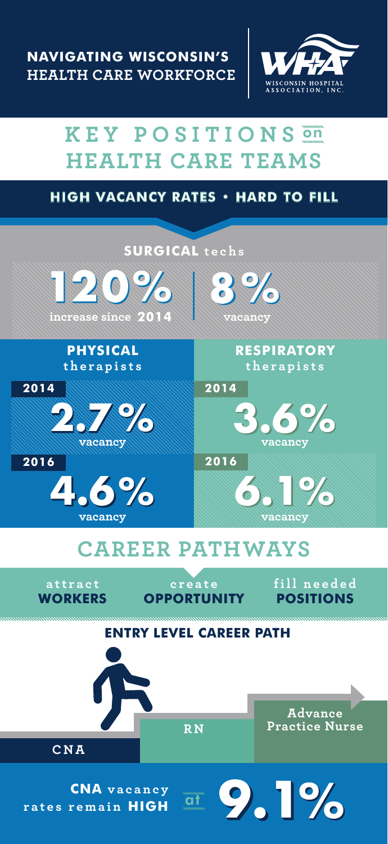

## **KEY POSITIONS** on **HEALTH CARE TEAMS**

## **HIGH VACANCY RATES • HARD TO FILL**